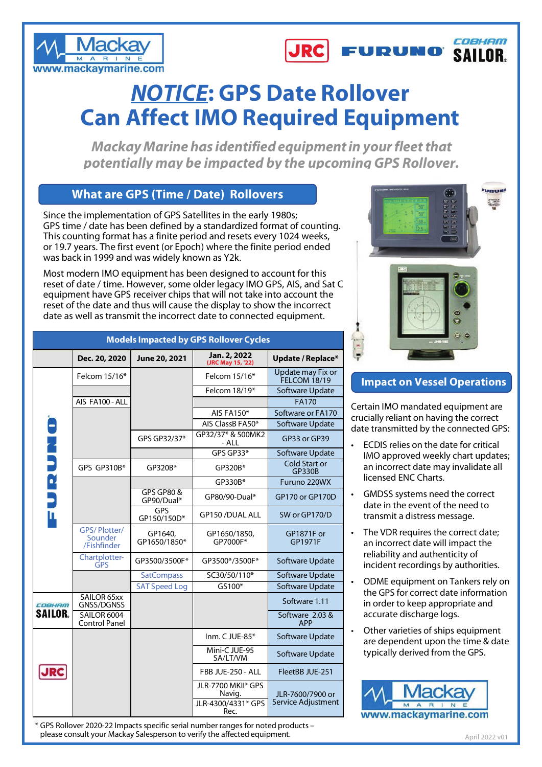



## *NOTICE***: GPS Date Rollover Can Affect IMO Required Equipment**

*Mackay Marine has identifiedequipmentin yourfleetthat potentially may be impacted by the upcoming GPS Rollover.*

## **What are GPS (Time / Date) Rollovers**

Since the implementation of GPS Satellites in the early 1980s; GPS time / date has been defined by a standardized format of counting. This counting format has a finite period and resets every 1024 weeks, or 19.7 years. The first event (or Epoch) where the finite period ended was back in 1999 and was widely known as Y2k.

Most modern IMO equipment has been designed to account for this reset of date / time. However, some older legacy IMO GPS, AIS, and Sat C equipment have GPS receiver chips that will not take into account the reset of the date and thus will cause the display to show the incorrect date as well as transmit the incorrect date to connected equipment.

| PUSINES IN NAVAR GREE<br><b>PERMIT REAL PROPERTY AT A 2000</b><br>$50^\circ$ | ¥.<br>129 127<br>200 450<br>$50 - 44$ | <b>FURURO</b> |
|------------------------------------------------------------------------------|---------------------------------------|---------------|
| $-50^\circ$<br>$0.68 -$<br>12.5<br><b>PRIME</b>                              | $-0.65$<br>69 69<br>en en             |               |
|                                                                              | <b>US</b> and<br>$\sqrt{2}$           |               |
|                                                                              |                                       |               |
| <b>EXP</b>                                                                   |                                       |               |
|                                                                              |                                       |               |
| ч<br>×                                                                       | ٠<br>$\bullet$                        |               |
|                                                                              | $rac{1}{2}$                           |               |
|                                                                              | 36.102                                |               |

## **Impact on Vessel Operations**

Certain IMO mandated equipment are crucially reliant on having the correct date transmitted by the connected GPS:

- ECDIS relies on the date for critical IMO approved weekly chart updates; an incorrect date may invalidate all licensed ENC Charts.
- GMDSS systems need the correct date in the event of the need to transmit a distress message.
- The VDR requires the correct date: an incorrect date will impact the reliability and authenticity of incident recordings by authorities.
- ODME equipment on Tankers rely on the GPS for correct date information in order to keep appropriate and accurate discharge logs.
- Other varieties of ships equipment are dependent upon the time & date typically derived from the GPS.



| <b>Models Impacted by GPS Rollover Cycles</b> |                                               |                          |                                                    |                                        |  |  |  |
|-----------------------------------------------|-----------------------------------------------|--------------------------|----------------------------------------------------|----------------------------------------|--|--|--|
|                                               | Dec. 20, 2020                                 | June 20, 2021            | Jan. 2, 2022<br>(JRC May 15, '22)                  | Update / Replace*                      |  |  |  |
|                                               | Felcom 15/16*                                 |                          | Felcom 15/16*                                      | Update may Fix or<br>FELCOM 18/19      |  |  |  |
|                                               |                                               |                          | Felcom 18/19*                                      | Software Update                        |  |  |  |
|                                               | AIS FA100 - ALL                               |                          |                                                    | <b>FA170</b>                           |  |  |  |
|                                               |                                               |                          | AIS FA150*                                         | Software or FA170                      |  |  |  |
|                                               |                                               |                          | AIS ClassB FA50*                                   | Software Update                        |  |  |  |
| <b>PURUNO</b>                                 |                                               | GPS GP32/37*             | GP32/37* & 500MK2<br>- ALL                         | GP33 or GP39                           |  |  |  |
|                                               |                                               |                          | GPS GP33*                                          | Software Update                        |  |  |  |
|                                               | GPS GP310B*                                   | GP320B*                  | GP320B*                                            | Cold Start or<br><b>GP330B</b>         |  |  |  |
|                                               |                                               |                          | GP330B*                                            | Furuno 220WX                           |  |  |  |
|                                               |                                               | GPS GP80 &<br>GP90/Dual* | GP80/90-Dual*                                      | GP170 or GP170D                        |  |  |  |
|                                               |                                               | GPS<br>GP150/150D*       | GP150 /DUAL ALL                                    | SW or GP170/D                          |  |  |  |
|                                               | <b>GPS/Plotter/</b><br>Sounder<br>/Fishfinder | GP1640,<br>GP1650/1850*  | GP1650/1850,<br>GP7000F*                           | <b>GP1871F</b> or<br>GP1971F           |  |  |  |
|                                               | Chartplotter-<br><b>GPS</b>                   | GP3500/3500F*            | GP3500*/3500F*                                     | Software Update                        |  |  |  |
|                                               |                                               | <b>SatCompass</b>        | SC30/50/110*                                       | Software Update                        |  |  |  |
|                                               |                                               | <b>SAT Speed Log</b>     | GS100*                                             | Software Update                        |  |  |  |
| COBHAM                                        | SAILOR 65xx<br><b>GNSS/DGNSS</b>              |                          |                                                    | Software 1.11                          |  |  |  |
| <b>SAILOR.</b>                                | SAILOR 6004<br>Control Panel                  |                          |                                                    | Software 2.03 &<br><b>APP</b>          |  |  |  |
|                                               |                                               |                          | Inm. C JUE-85*                                     | Software Update                        |  |  |  |
|                                               |                                               |                          | Mini-C JUE-95<br>SA/LT/VM                          | Software Update                        |  |  |  |
|                                               |                                               |                          | FBB JUE-250 - ALL                                  | FleetBB JUE-251                        |  |  |  |
|                                               |                                               |                          | JLR-7700 MKII* GPS<br>Navig.<br>JLR-4300/4331* GPS | JLR-7600/7900 or<br>Service Adjustment |  |  |  |
|                                               |                                               |                          | Rec.                                               |                                        |  |  |  |

\* GPS Rollover 2020-22 Impacts specific serial number ranges for noted products – please consult your Mackay Salesperson to verify the affected equipment.